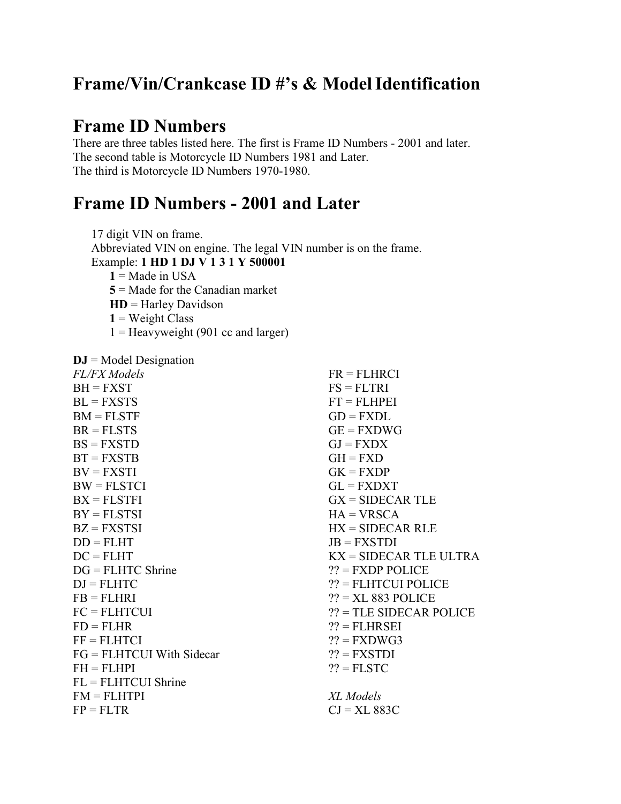# **Frame/Vin/Crankcase ID #'s & ModelIdentification**

## **Frame ID Numbers**

There are three tables listed here. The first is Frame ID Numbers - 2001 and later. The second table is Motorcycle ID Numbers 1981 and Later. The third is Motorcycle ID Numbers 1970-1980.

## **Frame ID Numbers - 2001 and Later**

17 digit VIN on frame. Abbreviated VIN on engine. The legal VIN number is on the frame. Example: **1 HD 1 DJ V 1 3 1 Y 500001**  $1 =$ Made in USA **5** = Made for the Canadian market **HD** = Harley Davidson  $1$  = Weight Class  $1 =$  Heavyweight (901 cc and larger)

**DJ** = Model Designation

| <b>FL/FX</b> Models         | $FR = FLHRCI$                   |
|-----------------------------|---------------------------------|
| $BH = FXST$                 | $FS = FLTRI$                    |
| $BL = FXSTS$                | $FT = FLHPEI$                   |
| $BM = FLSTF$                | $GD = FXDL$                     |
| $BR = FLSTS$                | $GE = FXDWG$                    |
| $BS = FXSTD$                | $GI = FXDX$                     |
| $BT = FXSTB$                | $GH = FXD$                      |
| $BV = FXSTI$                | $GK = FXDP$                     |
| $BW = FLSTCI$               | $GL = FXDXT$                    |
| $BX = FLSTFI$               | $GX = SIDECAR TLE$              |
| $BY = FLSTSI$               | $HA = VRSCA$                    |
| $BZ = FXSTSI$               | $HX = SIDECAR RLE$              |
| $DD = FLHT$                 | $JB = FXSTDI$                   |
| $DC = FLHT$                 | $\text{KX}$ = SIDECAR TLE ULTRA |
| $DG = FLHTC$ Shrine         | $?? = FXDP POLICE$              |
| $DJ = FLHTC$                | $22 =$ FLHTCUI POLICE           |
| $FB = FLHRI$                | $?? = XL 883$ POLICE            |
| $FC = FLHTCUI$              | $??$ = TLE SIDECAR POLICE       |
| $FD = FLHR$                 | $?? = FLHRSEI$                  |
| $FF = FLHTCI$               | $?$ ? = FXDWG3                  |
| $FG = FLHTCUI$ With Sidecar | $?? = FXSTDI$                   |
| $FH = FHHPI$                | $?? =$ FLSTC                    |
| $FL = FLHTCUI$ Shrine       |                                 |
| $FM = FLHTPI$               | XL Models                       |
| $FP = FLTR$                 | $CI = XL 883C$                  |
|                             |                                 |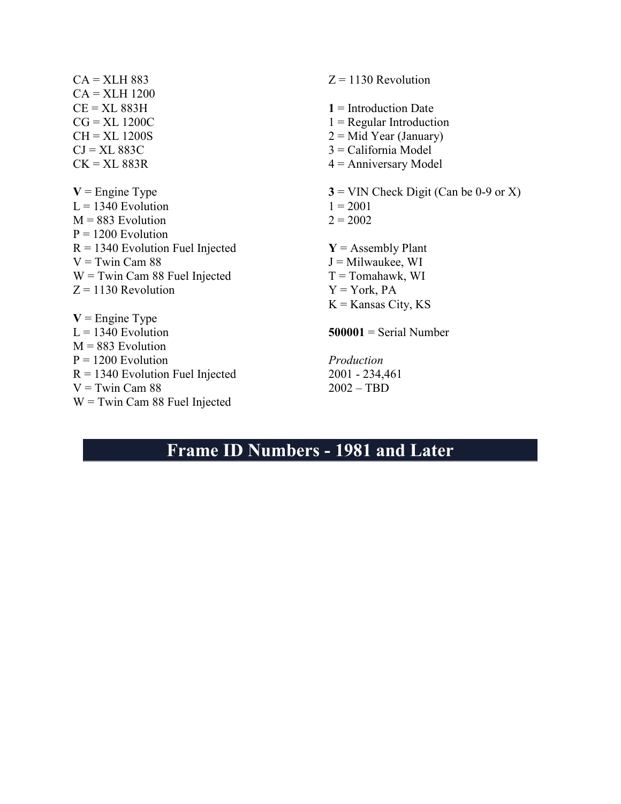$CA = XLH 883$ CA = XLH 1200  $CE = XL$  883 $H$  $CG = XL 1200C$  $CH = XL 1200S$  $CI = XL 883C$  $CK = XL$  883 $R$  $V =$  Engine Type  $L = 1340$  Evolution  $M = 883$  Evolution  $P = 1200$  Evolution  $R = 1340$  Evolution Fuel Injected  $V =$ Twin Cam 88 W = Twin Cam 88 Fuel Injected  $Z = 1130$  Revolution  $V =$  Engine Type  $L = 1340$  Evolution  $M = 883$  Evolution  $P = 1200$  Evolution  $R = 1340$  Evolution Fuel Injected  $V =$ Twin Cam 88 W = Twin Cam 88 Fuel Injected  $Z = 1130$  Revolution **1** = Introduction Date  $1 =$ Regular Introduction  $2 = Mid Year (January)$ 3 = California Model 4 = Anniversary Model  $3 =$  VIN Check Digit (Can be 0-9 or X)  $1 = 2001$  $2 = 2002$  $Y =$  Assembly Plant  $J =$ Milwaukee, WI  $T =$ Tomahawk, WI  $Y = York$ , PA  $K =$ Kansas City, KS **500001** = Serial Number *Production* 2001 - 234,461 2002 – TBD

## **Frame ID Numbers - 1981 and Later**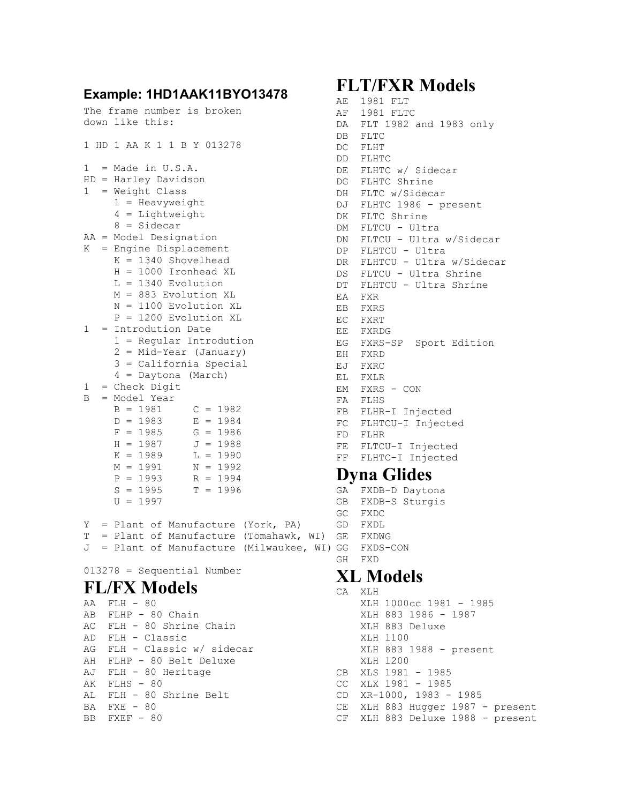# **Example: 1HD1AAK11BYO13478**

```
The frame number is broken 
down like this: 
1 HD 1 AA K 1 1 B Y 013278 
1 = Made in U.S.A.HD = Harley Davidson 
1 = Weight Class 1 = Heavyweight 
 4 = Lightweight 
 8 = Sidecar 
AA = Model Designation 
K = Engine Displacement 
 K = 1340 Shovelhead 
 H = 1000 Ironhead XL 
 L = 1340 Evolution 
 M = 883 Evolution XL 
 N = 1100 Evolution XL 
 P = 1200 Evolution XL 
1 = Introdution Date 
 1 = Regular Introdution 
 2 = Mid-Year (January) 
 3 = California Special 
 4 = Daytona (March) 
1 = Check Digit 
B = Model Year 
B = 1981 C = 1982D = 1983 E = 1984F = 1985 G = 1986
H = 1987 J = 1988K = 1989 L = 1990M = 1991 N = 1992P = 1993 R = 1994S = 1995 T = 1996U = 1997Y = Plant of Manufacture (York, PA) 
GD FXDL 
T = Plant of Manufacture (Tomahawk, WI) 
GE FXDWG 
J = Plant of Manufacture (Milwaukee, WI)
GG FXDS-CON
```
013278 = Sequential Number

#### **FL/FX Models**

AA FLH - 80 AB FLHP - 80 Chain AC FLH - 80 Shrine Chain AD FLH - Classic AG FLH - Classic w/ sidecar AH FLHP - 80 Belt Deluxe AJ FLH - 80 Heritage AK FLHS - 80 AL FLH - 80 Shrine Belt BA FXE - 80 BB FXEF - 80

## **FLT/FXR Models**

```
AE 1981 FLT 
        AF 1981 FLTC 
        DA FLT 1982 and 1983 only
       DB FLTC 
         DC FLHT 
         DD FLHTC 
         DE FLHTC w/ Sidecar 
         DG FLHTC Shrine 
         DH FLTC w/Sidecar 
         DJ FLHTC 1986 - present 
         DK FLTC Shrine 
         DM FLTCU - Ultra 
         DN FLTCU - Ultra w/Sidecar 
         DP FLHTCU - Ultra 
         DR FLHTCU - Ultra w/Sidecar 
         DS FLTCU - Ultra Shrine 
         DT FLHTCU - Ultra Shrine 
         EA FXR 
         EB FXRS 
         EC FXRT 
         EE FXRDG 
         EG FXRS-SP Sport Edition 
         EH FXRD 
         EJ FXRC 
         EL FXLR 
         EM FXRS - CON 
         FA FLHS 
         FB FLHR-I Injected 
         FC FLHTCU-I Injected 
         FD FLHR 
         FE FLTCU-I Injected 
         FF FLHTC-I Injected 
         Dyna Glides 
         GA FXDB-D Daytona 
Dyna Glides<br>GA FXDB-D Daytona<br>GB FXDB-S Sturgis
        GC FXDC
```
GH FXD

## **XL Models**

```
CA XLH 
      XLH 1000cc 1981 - 1985 
      XLH 883 1986 - 1987 
      XLH 883 Deluxe 
       XLH 1100 
      XLH 883 1988 - present 
      XLH 1200 
CB XLS 1981 - 1985 
CC XLX 1981 - 1985 
CD XR-1000, 1983 - 1985 
CE XLH 883 Hugger 1987 - present
 CF XLH 883 Deluxe 1988 - present
```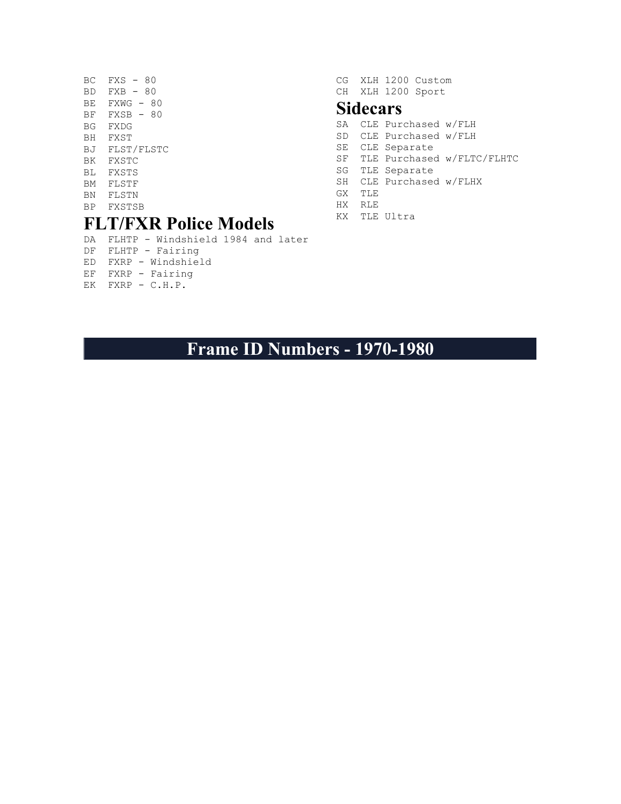- $BC$   $FXS 80$  $BD$   $FXB - 80$ BE FXWG - 80 BF FXSB - 80 BG FXDG BH FXST BJ FLST/FLSTC BK FXSTC BL FXSTS BM FLSTF BN FLSTN BP FXSTSB **FLT/FXR Police Models**
- DA FLHTP Windshield 1984 and later
- DF FLHTP Fairing
- ED FXRP Windshield
- EF FXRP Fairing
- EK FXRP C.H.P.

CG XLH 1200 Custom CH XLH 1200 Sport

#### **Sidecars**

- SA CLE Purchased w/FLH SD CLE Purchased w/FLH SE CLE Separate SF TLE Purchased w/FLTC/FLHTC SG TLE Separate SH CLE Purchased w/FLHX GX TLE HX RLE
- KX TLE Ultra

**Frame ID Numbers - 1970-1980**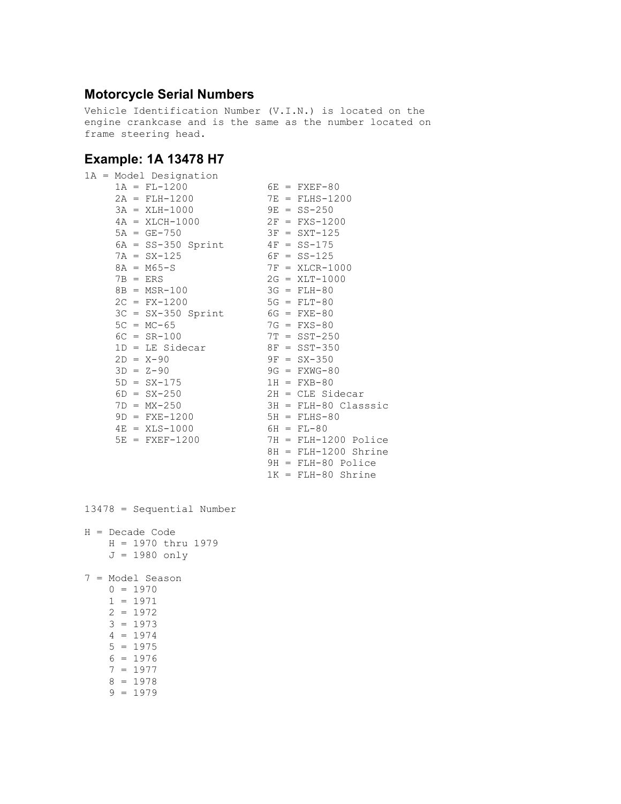#### **Motorcycle Serial Numbers**

Vehicle Identification Number (V.I.N.) is located on the engine crankcase and is the same as the number located on frame steering head.

#### **Example: 1A 13478 H7**

|                  | 1A = Model Designation           |  |                        |
|------------------|----------------------------------|--|------------------------|
| $1A = FL-1200$   |                                  |  | $6E = FXEF-80$         |
|                  | $2A = FLH-1200$                  |  | $7E = FLHS-1200$       |
|                  | $3A = XLH-1000$                  |  | $9E = SS - 250$        |
|                  | $4A = XLCH-1000$                 |  | $2F = FXS-1200$        |
| $5A = GE-750$    |                                  |  | $3F = SXT-125$         |
|                  | $6A = SS-350$ Sprint             |  | $4F = SS-175$          |
| $7A = SX-125$    |                                  |  | $6F = SS-125$          |
| $8A = M65-S$     |                                  |  | $7F = XLCR-1000$       |
| $7B = ERS$       |                                  |  | $2G = XLT-1000$        |
| $8B = MSR-100$   |                                  |  | $3G = FLH-80$          |
| $2C = FX-1200$   |                                  |  | $5G = FLT-80$          |
|                  | $3C = SX-350$ Sprint 6G = FXE-80 |  |                        |
| $5C = MC - 65$   |                                  |  | $7G = FXS-80$          |
| $6C = SR-100$    |                                  |  | $7T = SST - 250$       |
|                  | $1D = LE$ Sidecar                |  | $8F = SST - 350$       |
| $2D = X - 90$    |                                  |  | $9F = SX-350$          |
| $3D = Z - 90$    |                                  |  | $9G = FXWG-80$         |
| $5D = SX-175$    |                                  |  | $1H = FXB-80$          |
| $6D = SX - 250$  |                                  |  | $2H = CLE Sidecar$     |
| $7D = MX-250$    |                                  |  | $3H = FLH-80 Classsic$ |
| $9D = FXE-1200$  |                                  |  | $5H = FLHS-80$         |
| $4E = XLS-1000$  |                                  |  | $6H = FL-80$           |
| $5E = FXEF-1200$ |                                  |  | $7H = FLH-1200$ Police |
|                  |                                  |  | $8H = FLH-1200$ Shrine |
|                  |                                  |  | 9H = FLH-80 Police     |
|                  |                                  |  | $1K = FLH-80$ Shrine   |
|                  |                                  |  |                        |

13478 = Sequential Number

H = Decade Code  $H = 1970$  thru 1979  $J = 1980$  only 7 = Model Season  $0 = 1970$  $1 = 1971$  2 = 1972 3 = 1973 4 = 1974 5 = 1975  $6 = 1976$  7 = 1977 8 = 1978

9 = 1979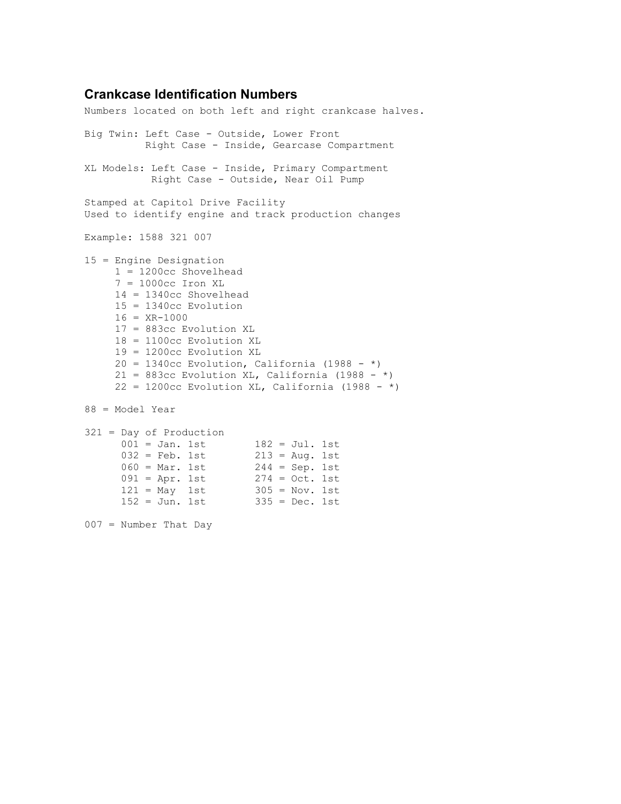#### **Crankcase Identification Numbers**

Numbers located on both left and right crankcase halves. Big Twin: Left Case - Outside, Lower Front Right Case - Inside, Gearcase Compartment XL Models: Left Case - Inside, Primary Compartment Right Case - Outside, Near Oil Pump Stamped at Capitol Drive Facility Used to identify engine and track production changes Example: 1588 321 007 15 = Engine Designation 1 = 1200cc Shovelhead 7 = 1000cc Iron XL 14 = 1340cc Shovelhead 15 = 1340cc Evolution  $16 = XR-1000$  17 = 883cc Evolution XL 18 = 1100cc Evolution XL 19 = 1200cc Evolution XL  $20 = 1340c$ c Evolution, California (1988 - \*) 21 = 883cc Evolution XL, California (1988 - \*)  $22 = 1200cc$  Evolution XL, California (1988 - \*) 88 = Model Year 321 = Day of Production  $001 =$  Jan. 1st  $182 =$  Jul. 1st  $032 = \text{Feb.} 1 \text{st} 213 = \text{Aug.} 1 \text{st}$  060 = Mar. 1st 244 = Sep. 1st  $091 = Apr. 1st$  274 = Oct. 1st  $121 = May 1st 305 = Nov. 1st$  $152 =$  Jun. 1st 335 = Dec. 1st 007 = Number That Day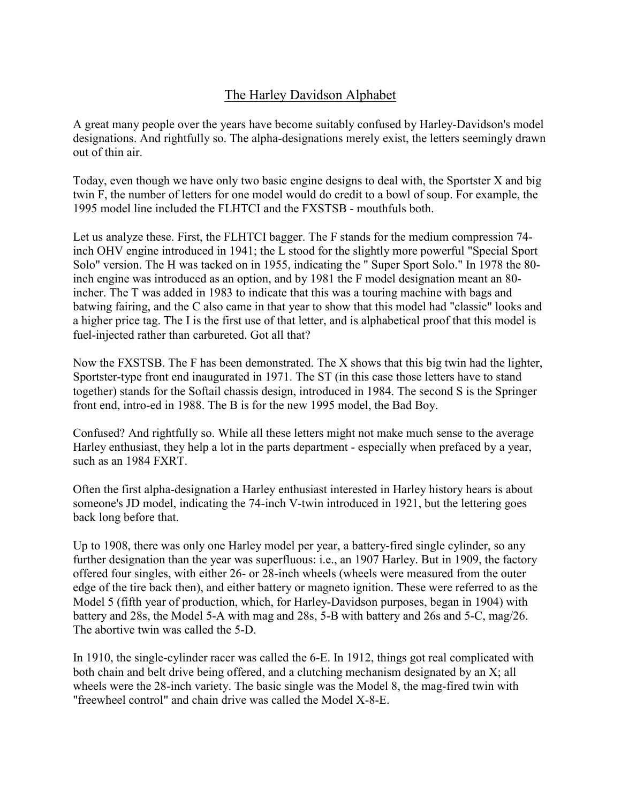#### The Harley Davidson Alphabet

A great many people over the years have become suitably confused by Harley-Davidson's model designations. And rightfully so. The alpha-designations merely exist, the letters seemingly drawn out of thin air.

Today, even though we have only two basic engine designs to deal with, the Sportster X and big twin F, the number of letters for one model would do credit to a bowl of soup. For example, the 1995 model line included the FLHTCI and the FXSTSB - mouthfuls both.

Let us analyze these. First, the FLHTCI bagger. The F stands for the medium compression 74 inch OHV engine introduced in 1941; the L stood for the slightly more powerful "Special Sport Solo" version. The H was tacked on in 1955, indicating the " Super Sport Solo." In 1978 the 80 inch engine was introduced as an option, and by 1981 the F model designation meant an 80 incher. The T was added in 1983 to indicate that this was a touring machine with bags and batwing fairing, and the C also came in that year to show that this model had "classic" looks and a higher price tag. The I is the first use of that letter, and is alphabetical proof that this model is fuel-injected rather than carbureted. Got all that?

Now the FXSTSB. The F has been demonstrated. The X shows that this big twin had the lighter, Sportster-type front end inaugurated in 1971. The ST (in this case those letters have to stand together) stands for the Softail chassis design, introduced in 1984. The second S is the Springer front end, intro-ed in 1988. The B is for the new 1995 model, the Bad Boy.

Confused? And rightfully so. While all these letters might not make much sense to the average Harley enthusiast, they help a lot in the parts department - especially when prefaced by a year, such as an 1984 FXRT.

Often the first alpha-designation a Harley enthusiast interested in Harley history hears is about someone's JD model, indicating the 74-inch V-twin introduced in 1921, but the lettering goes back long before that.

Up to 1908, there was only one Harley model per year, a battery-fired single cylinder, so any further designation than the year was superfluous: i.e., an 1907 Harley. But in 1909, the factory offered four singles, with either 26- or 28-inch wheels (wheels were measured from the outer edge of the tire back then), and either battery or magneto ignition. These were referred to as the Model 5 (fifth year of production, which, for Harley-Davidson purposes, began in 1904) with battery and 28s, the Model 5-A with mag and 28s, 5-B with battery and 26s and 5-C, mag/26. The abortive twin was called the 5-D.

In 1910, the single-cylinder racer was called the 6-E. In 1912, things got real complicated with both chain and belt drive being offered, and a clutching mechanism designated by an X; all wheels were the 28-inch variety. The basic single was the Model 8, the mag-fired twin with "freewheel control" and chain drive was called the Model X-8-E.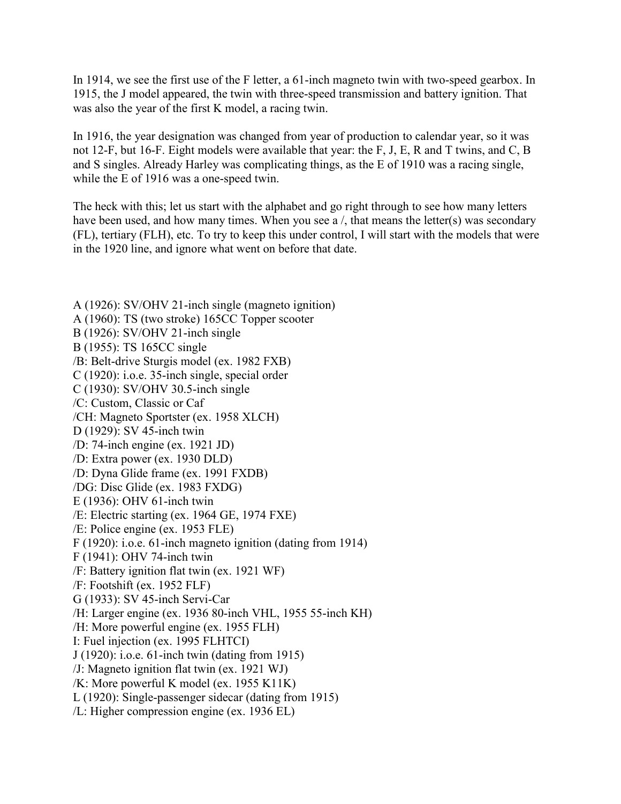In 1914, we see the first use of the F letter, a 61-inch magneto twin with two-speed gearbox. In 1915, the J model appeared, the twin with three-speed transmission and battery ignition. That was also the year of the first K model, a racing twin.

In 1916, the year designation was changed from year of production to calendar year, so it was not 12-F, but 16-F. Eight models were available that year: the F, J, E, R and T twins, and C, B and S singles. Already Harley was complicating things, as the E of 1910 was a racing single, while the E of 1916 was a one-speed twin.

The heck with this; let us start with the alphabet and go right through to see how many letters have been used, and how many times. When you see a  $/$ , that means the letter(s) was secondary (FL), tertiary (FLH), etc. To try to keep this under control, I will start with the models that were in the 1920 line, and ignore what went on before that date.

A (1926): SV/OHV 21-inch single (magneto ignition) A (1960): TS (two stroke) 165CC Topper scooter B (1926): SV/OHV 21-inch single B (1955): TS 165CC single /B: Belt-drive Sturgis model (ex. 1982 FXB) C (1920): i.o.e. 35-inch single, special order C (1930): SV/OHV 30.5-inch single /C: Custom, Classic or Caf /CH: Magneto Sportster (ex. 1958 XLCH) D (1929): SV 45-inch twin /D: 74-inch engine (ex. 1921 JD) /D: Extra power (ex. 1930 DLD) /D: Dyna Glide frame (ex. 1991 FXDB) /DG: Disc Glide (ex. 1983 FXDG) E (1936): OHV 61-inch twin /E: Electric starting (ex. 1964 GE, 1974 FXE) /E: Police engine (ex. 1953 FLE) F (1920): i.o.e. 61-inch magneto ignition (dating from 1914) F (1941): OHV 74-inch twin /F: Battery ignition flat twin (ex. 1921 WF) /F: Footshift (ex. 1952 FLF) G (1933): SV 45-inch Servi-Car /H: Larger engine (ex. 1936 80-inch VHL, 1955 55-inch KH) /H: More powerful engine (ex. 1955 FLH) I: Fuel injection (ex. 1995 FLHTCI) J (1920): i.o.e. 61-inch twin (dating from 1915) /J: Magneto ignition flat twin (ex. 1921 WJ) /K: More powerful K model (ex. 1955 K11K) L (1920): Single-passenger sidecar (dating from 1915) /L: Higher compression engine (ex. 1936 EL)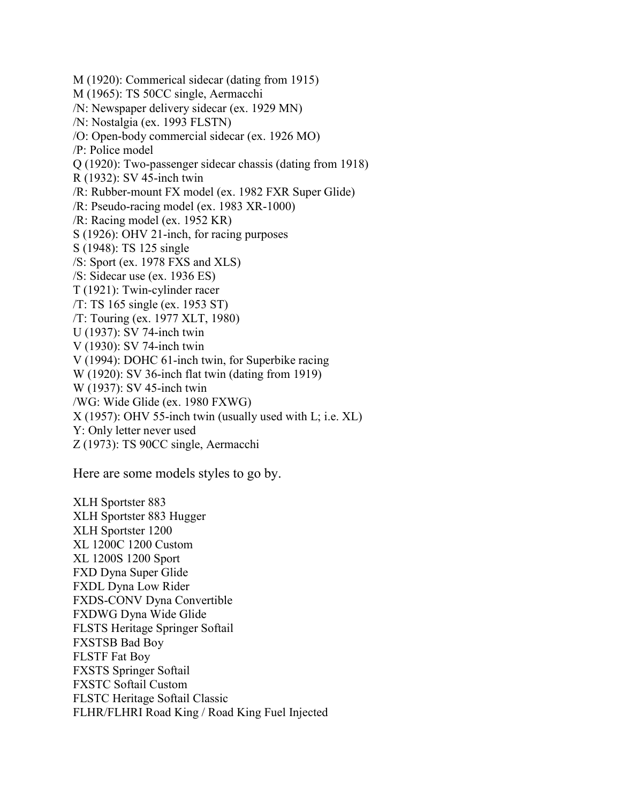M (1920): Commerical sidecar (dating from 1915) M (1965): TS 50CC single, Aermacchi /N: Newspaper delivery sidecar (ex. 1929 MN) /N: Nostalgia (ex. 1993 FLSTN) /O: Open-body commercial sidecar (ex. 1926 MO) /P: Police model Q (1920): Two-passenger sidecar chassis (dating from 1918) R (1932): SV 45-inch twin /R: Rubber-mount FX model (ex. 1982 FXR Super Glide) /R: Pseudo-racing model (ex. 1983 XR-1000) /R: Racing model (ex. 1952 KR) S (1926): OHV 21-inch, for racing purposes S (1948): TS 125 single /S: Sport (ex. 1978 FXS and XLS) /S: Sidecar use (ex. 1936 ES) T (1921): Twin-cylinder racer /T: TS 165 single (ex. 1953 ST) /T: Touring (ex. 1977 XLT, 1980) U (1937): SV 74-inch twin V (1930): SV 74-inch twin V (1994): DOHC 61-inch twin, for Superbike racing W (1920): SV 36-inch flat twin (dating from 1919) W (1937): SV 45-inch twin /WG: Wide Glide (ex. 1980 FXWG) X (1957): OHV 55-inch twin (usually used with L; i.e. XL) Y: Only letter never used Z (1973): TS 90CC single, Aermacchi

Here are some models styles to go by.

XLH Sportster 883 XLH Sportster 883 Hugger XLH Sportster 1200 XL 1200C 1200 Custom XL 1200S 1200 Sport FXD Dyna Super Glide FXDL Dyna Low Rider FXDS-CONV Dyna Convertible FXDWG Dyna Wide Glide FLSTS Heritage Springer Softail FXSTSB Bad Boy FLSTF Fat Boy FXSTS Springer Softail FXSTC Softail Custom FLSTC Heritage Softail Classic FLHR/FLHRI Road King / Road King Fuel Injected